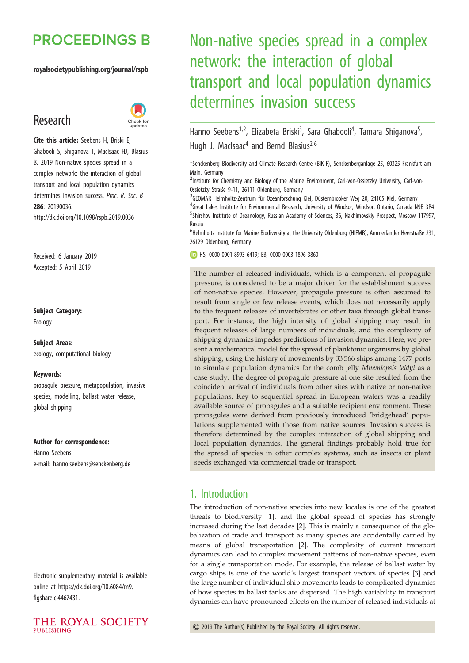## **PROCEEDINGS B**

#### royalsocietypublishing.org/journal/rspb

## Research



Cite this article: Seebens H, Briski E, Ghabooli S, Shiganova T, MacIsaac HJ, Blasius B. 2019 Non-native species spread in a complex network: the interaction of global transport and local population dynamics determines invasion success. Proc. R. Soc. B 286: 20190036. http://dx.doi.org/10.1098/rspb.2019.0036

Received: 6 January 2019 Accepted: 5 April 2019

#### Subject Category:

Ecology

#### Subject Areas:

ecology, computational biology

#### Keywords:

propagule pressure, metapopulation, invasive species, modelling, ballast water release, global shipping

#### Author for correspondence:

Hanno Seebens e-mail: [hanno.seebens@senckenberg.de](mailto:hanno.seebens@senckenberg.de)

Electronic supplementary material is available online at [https://dx.doi.org/10.6084/m9.](https://dx.doi.org/10.6084/m9.figshare.c.4467431) [figshare.c.4467431](https://dx.doi.org/10.6084/m9.figshare.c.4467431).



# Non-native species spread in a complex network: the interaction of global transport and local population dynamics determines invasion success

Hanno Seebens<sup>1,2</sup>, Elizabeta Briski<sup>3</sup>, Sara Ghabooli<sup>4</sup>, Tamara Shiganova<sup>5</sup> .<br>, Hugh J. MacIsaac<sup>4</sup> and Bernd Blasius<sup>2,6</sup>

<sup>1</sup>Senckenberg Biodiversity and Climate Research Centre (BiK-F), Senckenberganlage 25, 60325 Frankfurt am Main, Germany

<sup>2</sup>Institute for Chemistry and Biology of the Marine Environment, Carl-von-Ossietzky University, Carl-von-Ossietzky Straße 9-11, 26111 Oldenburg, Germany

<sup>3</sup>GEOMAR Helmholtz-Zentrum für Ozeanforschung Kiel, Düsternbrooker Weg 20, 24105 Kiel, Germany <sup>4</sup> Great Lakes Institute for Environmental Research, University of Windsor, Windsor, Ontario, Canada N9B 3P4 <sup>5</sup>Shirshov Institute of Oceanology, Russian Academy of Sciences, 36, Nakhimovskiy Prospect, Moscow 117997, Russia

 $^6$ Helmholtz Institute for Marine Biodiversity at the University Oldenburg (HIFMB), Ammerländer Heerstraße 231, 26129 Oldenburg, Germany

HS, [0000-0001-8993-6419;](http://orcid.org/0000-0001-8993-6419) EB, [0000-0003-1896-3860](http://orcid.org/0000-0003-1896-3860)

The number of released individuals, which is a component of propagule pressure, is considered to be a major driver for the establishment success of non-native species. However, propagule pressure is often assumed to result from single or few release events, which does not necessarily apply to the frequent releases of invertebrates or other taxa through global transport. For instance, the high intensity of global shipping may result in frequent releases of large numbers of individuals, and the complexity of shipping dynamics impedes predictions of invasion dynamics. Here, we present a mathematical model for the spread of planktonic organisms by global shipping, using the history of movements by 33 566 ships among 1477 ports to simulate population dynamics for the comb jelly Mnemiopsis leidyi as a case study. The degree of propagule pressure at one site resulted from the coincident arrival of individuals from other sites with native or non-native populations. Key to sequential spread in European waters was a readily available source of propagules and a suitable recipient environment. These propagules were derived from previously introduced 'bridgehead' populations supplemented with those from native sources. Invasion success is therefore determined by the complex interaction of global shipping and local population dynamics. The general findings probably hold true for the spread of species in other complex systems, such as insects or plant seeds exchanged via commercial trade or transport.

## 1. Introduction

The introduction of non-native species into new locales is one of the greatest threats to biodiversity [\[1](#page-7-0)], and the global spread of species has strongly increased during the last decades [[2](#page-7-0)]. This is mainly a consequence of the globalization of trade and transport as many species are accidentally carried by means of global transportation [[2](#page-7-0)]. The complexity of current transport dynamics can lead to complex movement patterns of non-native species, even for a single transportation mode. For example, the release of ballast water by cargo ships is one of the world's largest transport vectors of species [[3](#page-7-0)] and the large number of individual ship movements leads to complicated dynamics of how species in ballast tanks are dispersed. The high variability in transport dynamics can have pronounced effects on the number of released individuals at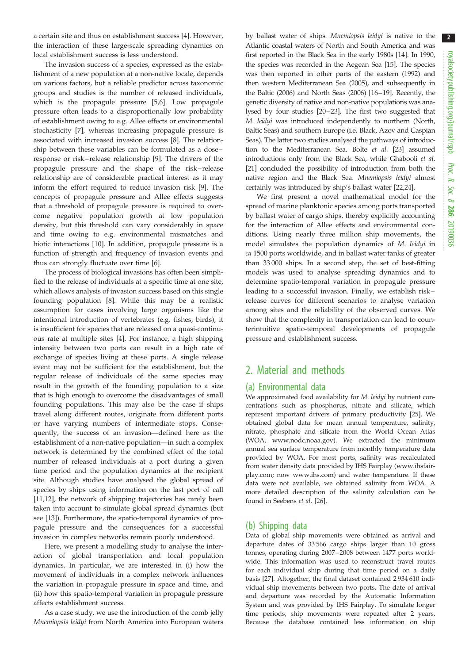a certain site and thus on establishment success [\[4\]](#page-7-0). However, the interaction of these large-scale spreading dynamics on local establishment success is less understood.

The invasion success of a species, expressed as the establishment of a new population at a non-native locale, depends on various factors, but a reliable predictor across taxonomic groups and studies is the number of released individuals, which is the propagule pressure [[5,6\]](#page-7-0). Low propagule pressure often leads to a disproportionally low probability of establishment owing to e.g. Allee effects or environmental stochasticity [\[7\]](#page-7-0), whereas increasing propagule pressure is associated with increased invasion success [[8](#page-7-0)]. The relationship between these variables can be formulated as a dose – response or risk– release relationship [[9](#page-7-0)]. The drivers of the propagule pressure and the shape of the risk – release relationship are of considerable practical interest as it may inform the effort required to reduce invasion risk [[9](#page-7-0)]. The concepts of propagule pressure and Allee effects suggests that a threshold of propagule pressure is required to overcome negative population growth at low population density, but this threshold can vary considerably in space and time owing to e.g. environmental mismatches and biotic interactions [[10\]](#page-7-0). In addition, propagule pressure is a function of strength and frequency of invasion events and thus can strongly fluctuate over time [\[6\]](#page-7-0).

The process of biological invasions has often been simplified to the release of individuals at a specific time at one site, which allows analysis of invasion success based on this single founding population [[8](#page-7-0)]. While this may be a realistic assumption for cases involving large organisms like the intentional introduction of vertebrates (e.g. fishes, birds), it is insufficient for species that are released on a quasi-continuous rate at multiple sites [[4](#page-7-0)]. For instance, a high shipping intensity between two ports can result in a high rate of exchange of species living at these ports. A single release event may not be sufficient for the establishment, but the regular release of individuals of the same species may result in the growth of the founding population to a size that is high enough to overcome the disadvantages of small founding populations. This may also be the case if ships travel along different routes, originate from different ports or have varying numbers of intermediate stops. Consequently, the success of an invasion—defined here as the establishment of a non-native population—in such a complex network is determined by the combined effect of the total number of released individuals at a port during a given time period and the population dynamics at the recipient site. Although studies have analysed the global spread of species by ships using information on the last port of call [\[11](#page-7-0),[12\]](#page-7-0), the network of shipping trajectories has rarely been taken into account to simulate global spread dynamics (but see [\[13\]](#page-7-0)). Furthermore, the spatio-temporal dynamics of propagule pressure and the consequences for a successful invasion in complex networks remain poorly understood.

Here, we present a modelling study to analyse the interaction of global transportation and local population dynamics. In particular, we are interested in (i) how the movement of individuals in a complex network influences the variation in propagule pressure in space and time, and (ii) how this spatio-temporal variation in propagule pressure affects establishment success.

As a case study, we use the introduction of the comb jelly Mnemiopsis leidyi from North America into European waters by ballast water of ships. Mnemiopsis leidyi is native to the Atlantic coastal waters of North and South America and was first reported in the Black Sea in the early 1980s [\[14](#page-7-0)]. In 1990, the species was recorded in the Aegean Sea [\[15\]](#page-7-0). The species was then reported in other parts of the eastern (1992) and then western Mediterranean Sea (2005), and subsequently in the Baltic (2006) and North Seas (2006) [\[16](#page-7-0)–[19\]](#page-8-0). Recently, the genetic diversity of native and non-native populations was analysed by four studies [\[20](#page-8-0)–[23\]](#page-8-0). The first two suggested that M. leidyi was introduced independently to northern (North, Baltic Seas) and southern Europe (i.e. Black, Azov and Caspian Seas). The latter two studies analysed the pathways of introduction to the Mediterranean Sea. Bolte et al. [\[23](#page-8-0)] assumed introductions only from the Black Sea, while Ghabooli et al. [[21](#page-8-0)] concluded the possibility of introduction from both the native region and the Black Sea. Mnemiopsis leidyi almost certainly was introduced by ship's ballast water [[22](#page-8-0),[24](#page-8-0)].

We first present a novel mathematical model for the spread of marine planktonic species among ports transported by ballast water of cargo ships, thereby explicitly accounting for the interaction of Allee effects and environmental conditions. Using nearly three million ship movements, the model simulates the population dynamics of M. leidyi in ca 1500 ports worldwide, and in ballast water tanks of greater than 33 000 ships. In a second step, the set of best-fitting models was used to analyse spreading dynamics and to determine spatio-temporal variation in propagule pressure leading to a successful invasion. Finally, we establish risk – release curves for different scenarios to analyse variation among sites and the reliability of the observed curves. We show that the complexity in transportation can lead to counterintuitive spatio-temporal developments of propagule pressure and establishment success.

## 2. Material and methods

## (a) Environmental data

We approximated food availability for M. leidyi by nutrient concentrations such as phosphorus, nitrate and silicate, which represent important drivers of primary productivity [[25](#page-8-0)]. We obtained global data for mean annual temperature, salinity, nitrate, phosphate and silicate from the World Ocean Atlas (WOA, [www.nodc.noaa.gov](http://www.nodc.noaa.gov)). We extracted the minimum annual sea surface temperature from monthly temperature data provided by WOA. For most ports, salinity was recalculated from water density data provided by IHS Fairplay [\(www.ihsfair](http://www.ihsfairplay.com)[play.com;](http://www.ihsfairplay.com) now [www.ihs.com\)](http://www.ihs.com) and water temperature. If these data were not available, we obtained salinity from WOA. A more detailed description of the salinity calculation can be found in Seebens et al. [\[26\]](#page-8-0).

## (b) Shipping data

Data of global ship movements were obtained as arrival and departure dates of 33 566 cargo ships larger than 10 gross tonnes, operating during 2007– 2008 between 1477 ports worldwide. This information was used to reconstruct travel routes for each individual ship during that time period on a daily basis [[27](#page-8-0)]. Altogether, the final dataset contained 2 934 610 individual ship movements between two ports. The date of arrival and departure was recorded by the Automatic Information System and was provided by IHS Fairplay. To simulate longer time periods, ship movements were repeated after 2 years. Because the database contained less information on ship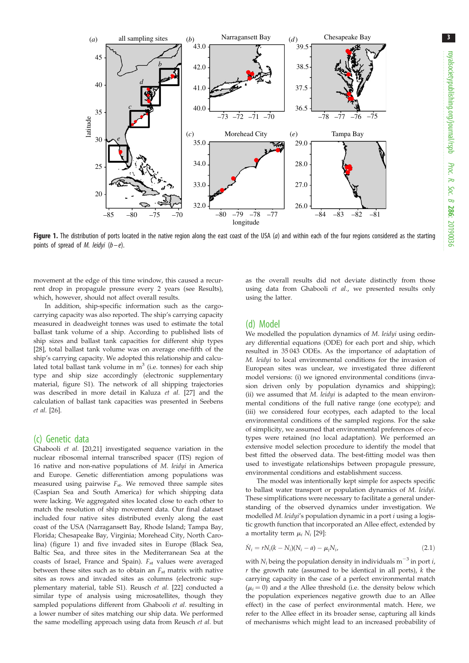<span id="page-2-0"></span>

Figure 1. The distribution of ports located in the native region along the east coast of the USA ( $a$ ) and within each of the four regions considered as the starting points of spread of M. leidyi  $(b-e)$ .

movement at the edge of this time window, this caused a recurrent drop in propagule pressure every 2 years (see Results), which, however, should not affect overall results.

In addition, ship-specific information such as the cargocarrying capacity was also reported. The ship's carrying capacity measured in deadweight tonnes was used to estimate the total ballast tank volume of a ship. According to published lists of ship sizes and ballast tank capacities for different ship types [\[28\]](#page-8-0), total ballast tank volume was on average one-fifth of the ship's carrying capacity. We adopted this relationship and calculated total ballast tank volume in  $m<sup>3</sup>$  (i.e. tonnes) for each ship type and ship size accordingly (electronic supplementary material, figure S1). The network of all shipping trajectories was described in more detail in Kaluza et al. [\[27\]](#page-8-0) and the calculation of ballast tank capacities was presented in Seebens et al. [\[26\]](#page-8-0).

### (c) Genetic data

Ghabooli et al. [[20,21\]](#page-8-0) investigated sequence variation in the nuclear ribosomal internal transcribed spacer (ITS) region of 16 native and non-native populations of M. leidyi in America and Europe. Genetic differentiation among populations was measured using pairwise  $F_{st}$ . We removed three sample sites (Caspian Sea and South America) for which shipping data were lacking. We aggregated sites located close to each other to match the resolution of ship movement data. Our final dataset included four native sites distributed evenly along the east coast of the USA (Narragansett Bay, Rhode Island; Tampa Bay, Florida; Chesapeake Bay, Virginia; Morehead City, North Carolina) (figure 1) and five invaded sites in Europe (Black Sea, Baltic Sea, and three sites in the Mediterranean Sea at the coasts of Israel, France and Spain).  $F_{st}$  values were averaged between these sites such as to obtain an  $F_{st}$  matrix with native sites as rows and invaded sites as columns (electronic supplementary material, table S1). Reusch et al. [\[22](#page-8-0)] conducted a similar type of analysis using microsatellites, though they sampled populations different from Ghabooli et al. resulting in a lower number of sites matching our ship data. We performed the same modelling approach using data from Reusch et al. but

as the overall results did not deviate distinctly from those using data from Ghabooli et al., we presented results only using the latter.

#### (d) Model

We modelled the population dynamics of *M. leidyi* using ordinary differential equations (ODE) for each port and ship, which resulted in 35 043 ODEs. As the importance of adaptation of M. leidyi to local environmental conditions for the invasion of European sites was unclear, we investigated three different model versions: (i) we ignored environmental conditions (invasion driven only by population dynamics and shipping); (ii) we assumed that M. leidyi is adapted to the mean environmental conditions of the full native range (one ecotype); and (iii) we considered four ecotypes, each adapted to the local environmental conditions of the sampled regions. For the sake of simplicity, we assumed that environmental preferences of ecotypes were retained (no local adaptation). We performed an extensive model selection procedure to identify the model that best fitted the observed data. The best-fitting model was then used to investigate relationships between propagule pressure, environmental conditions and establishment success.

The model was intentionally kept simple for aspects specific to ballast water transport or population dynamics of M. leidyi. These simplifications were necessary to facilitate a general understanding of the observed dynamics under investigation. We modelled M. leidyi's population dynamic in a port i using a logistic growth function that incorporated an Allee effect, extended by a mortality term  $\mu_i N_i$  [\[29\]](#page-8-0):

$$
\dot{N}_i = rN_i(k - N_i)(N_i - a) - \mu_i N_i, \tag{2.1}
$$

with  $N_i$  being the population density in individuals m<sup>-3</sup> in port *i*,  $r$  the growth rate (assumed to be identical in all ports),  $k$  the carrying capacity in the case of a perfect environmental match  $(\mu_i = 0)$  and a the Allee threshold (i.e. the density below which the population experiences negative growth due to an Allee effect) in the case of perfect environmental match. Here, we refer to the Allee effect in its broader sense, capturing all kinds of mechanisms which might lead to an increased probability of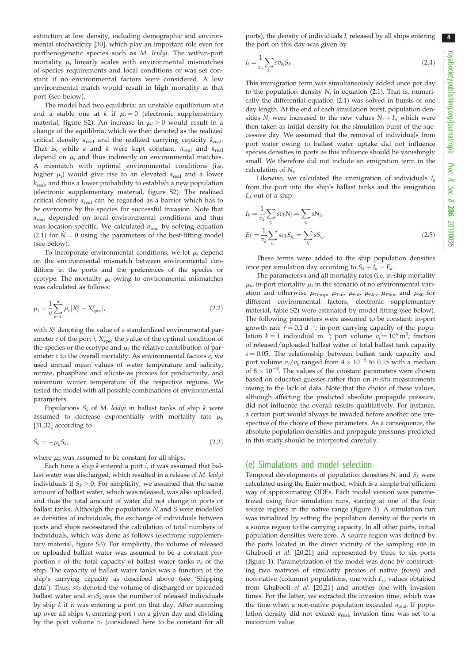extinction at low density, including demographic and environmental stochasticity [\[30\]](#page-8-0), which play an important role even for parthenogenetic species such as M. leidyi. The within-port mortality  $\mu_i$  linearly scales with environmental mismatches of species requirements and local conditions or was set constant if no environmental factors were considered. A low environmental match would result in high mortality at that port (see below).

The model had two equilibria: an unstable equilibrium at a and a stable one at k if  $\mu_i = 0$  (electronic supplementary material, figure S2). An increase in  $\mu_i > 0$  would result in a change of the equilibria, which we then denoted as the realized critical density  $a_{\text{real}}$  and the realized carrying capacity  $k_{\text{real}}$ . That is, while  $a$  and  $k$  were kept constant,  $a_{\text{real}}$  and  $k_{\text{real}}$ depend on  $\mu_i$  and thus indirectly on environmental matches. A mismatch with optimal environmental conditions (i.e. higher  $\mu_i$ ) would give rise to an elevated  $a_{\text{real}}$  and a lower  $k_{\text{real}}$ , and thus a lower probability to establish a new population (electronic supplementary material, figure S2). The realized critical density  $a_{\text{real}}$  can be regarded as a barrier which has to be overcome by the species for successful invasion. Note that  $a_{\text{real}}$  depended on local environmental conditions and thus was location-specific. We calculated  $a_{\text{real}}$  by solving equation (2.1) for  $N = 0$  using the parameters of the best-fitting model (see below).

To incorporate environmental conditions, we let  $\mu_i$  depend on the environmental mismatch between environmental conditions in the ports and the preferences of the species or ecotype. The mortality  $\mu_i$  owing to environmental mismatches was calculated as follows:

$$
\mu_i = \frac{1}{n} \sum_{e=1}^{n} \mu_e |X_i^e - X_{\text{spec}}^e|,\tag{2.2}
$$

with  $X_i^e$  denoting the value of a standardized environmental parameter *e* of the port *i*,  $X_{\text{spec}}^e$  the value of the optimal condition of the species or the ecotype and  $\mu_e$  the relative contribution of parameter  $e$  to the overall mortality. As environmental factors  $e$ , we used annual mean values of water temperature and salinity, nitrate, phosphate and silicate as proxies for productivity, and minimum winter temperature of the respective regions. We tested the model with all possible combinations of environmental parameters.

Populations  $S_k$  of M. leidyi in ballast tanks of ship k were assumed to decrease exponentially with mortality rate  $\mu_k$ [\[31,32](#page-8-0)] according to

$$
\dot{S}_k = -\mu_k S_k,\tag{2.3}
$$

where  $\mu_k$  was assumed to be constant for all ships.

Each time a ship  $k$  entered a port  $i$ , it was assumed that ballast water was discharged, which resulted in a release of M. leidyi individuals if  $S_k > 0$ . For simplicity, we assumed that the same amount of ballast water, which was released, was also uploaded, and thus the total amount of water did not change in ports or ballast tanks. Although the populations N and S were modelled as densities of individuals, the exchange of individuals between ports and ships necessitated the calculation of total numbers of individuals, which was done as follows (electronic supplementary material, figure S3): For simplicity, the volume of released or uploaded ballast water was assumed to be a constant proportion s of the total capacity of ballast water tanks  $v_k$  of the ship. The capacity of ballast water tanks was a function of the ship's carrying capacity as described above (see 'Shipping data'). Thus,  $sv_k$  denoted the volume of discharged or uploaded ballast water and  $sv_kS_k$  was the number of released individuals by ship  $k$  if it was entering a port on that day. After summing up over all ships  $k_i$  entering port  $i$  on a given day and dividing by the port volume  $v_i$  (considered here to be constant for all

ports), the density of individuals  $I_i$  released by all ships entering the port on this day was given by

$$
I_i = \frac{1}{v_i} \sum_{k_i} s v_{k_i} S_{k_i}.
$$
\n
$$
(2.4)
$$

This immigration term was simultaneously added once per day to the population density  $N_i$  in equation (2.1). That is, numerically the differential equation (2.1) was solved in bursts of one day length. At the end of each simulation burst, population densities  $N_i$  were increased to the new values  $N_i + I_i$ , which were then taken as initial density for the simulation burst of the successive day. We assumed that the removal of individuals from port water owing to ballast water uptake did not influence species densities in ports as this influence should be vanishingly small. We therefore did not include an emigration term in the calculation of Ni.

Likewise, we calculated the immigration of individuals  $I_k$ from the port into the ship's ballast tanks and the emigration  $E_k$  out of a ship:

$$
I_k = \frac{1}{v_k} \sum_{i_k} sv_k N_i = \sum_{i_k} s N_i,
$$
  

$$
E_k = \frac{1}{v_k} \sum_{i_k} sv_k S_{i_k} = \sum_{i_k} s S_{i_k}.
$$
 (2.5)

These terms were added to the ship population densities once per simulation day according to  $S_k + I_k - E_k$ .

The parameters *a* and all mortality rates (i.e. in-ship mortality  $\mu_k$ , in-port mortality  $\mu_i$  in the scenario of no environmental variation and otherwise  $\mu_{\text{Temp}}$ ,  $\mu_{\text{Tim}}$ ,  $\mu_{\text{Sal}}$ ,  $\mu_{\text{Nit}}$ ,  $\mu_{\text{Phos}}$  and  $\mu_{\text{Sil}}$  for different environmental factors, electronic supplementary material, table S2) were estimated by model fitting (see below). The following parameters were assumed to be constant: in-port growth rate  $r = 0.1 d^{-1}$ ; in-port carrying capacity of the population  $k = 1$  individual m<sup>-3</sup>; port volume  $v_i = 10^6$  m<sup>3</sup>; fraction of released/uploaded ballast water of total ballast tank capacity  $s = 0.05$ . The relationship between ballast tank capacity and port volume  $v_i/v_k$  ranged from  $4 \times 10^{-5}$  to 0.15 with a median of  $8 \times 10^{-3}$ . The values of the constant parameters were chosen based on educated guesses rather than on in situ measurements owing to the lack of data. Note that the choice of these values, although affecting the predicted absolute propagule pressure, did not influence the overall results qualitatively. For instance, a certain port would always be invaded before another one irrespective of the choice of these parameters. As a consequence, the absolute population densities and propagule pressures predicted in this study should be interpreted carefully.

#### (e) Simulations and model selection

Temporal developments of population densities  $N_i$  and  $S_k$  were calculated using the Euler method, which is a simple but efficient way of approximating ODEs. Each model version was parametrized using four simulation runs, starting at one of the four source regions in the native range [\(figure 1\)](#page-2-0). A simulation run was initialized by setting the population density of the ports in a source region to the carrying capacity. In all other ports, initial population densities were zero. A source region was defined by the ports located in the direct vicinity of the sampling site in Ghabooli et al. [[20,21\]](#page-8-0) and represented by three to six ports ([figure 1](#page-2-0)). Parametrization of the model was done by constructing two matrices of similarity proxies of native (rows) and non-native (columns) populations, one with  $F_{st}$  values obtained from Ghabooli et al. [\[20](#page-8-0),[21](#page-8-0)] and another one with invasion times. For the latter, we extracted the invasion time, which was the time when a non-native population exceeded  $a_{\text{real}}$ . If population density did not exceed  $a_{\text{real}}$ , invasion time was set to a maximum value.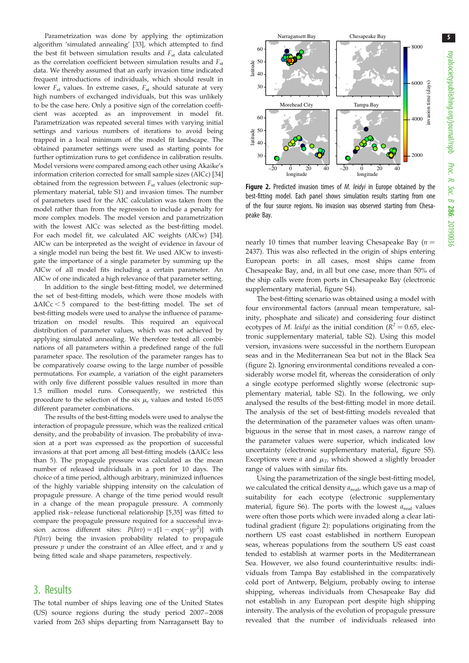<span id="page-4-0"></span>Parametrization was done by applying the optimization algorithm 'simulated annealing' [\[33\]](#page-8-0), which attempted to find the best fit between simulation results and  $F_{st}$  data calculated as the correlation coefficient between simulation results and  $F_{st}$ data. We thereby assumed that an early invasion time indicated frequent introductions of individuals, which should result in lower  $F_{st}$  values. In extreme cases,  $F_{st}$  should saturate at very high numbers of exchanged individuals, but this was unlikely to be the case here. Only a positive sign of the correlation coefficient was accepted as an improvement in model fit. Parametrization was repeated several times with varying initial settings and various numbers of iterations to avoid being trapped in a local minimum of the model fit landscape. The obtained parameter settings were used as starting points for further optimization runs to get confidence in calibration results. Model versions were compared among each other using Akaike's information criterion corrected for small sample sizes (AICc) [\[34\]](#page-8-0) obtained from the regression between  $F_{st}$  values (electronic supplementary material, table S1) and invasion times. The number of parameters used for the AIC calculation was taken from the model rather than from the regression to include a penalty for more complex models. The model version and parametrization with the lowest AICc was selected as the best-fitting model. For each model fit, we calculated AIC weights (AICw) [\[34\]](#page-8-0). AICw can be interpreted as the weight of evidence in favour of a single model run being the best fit. We used AICw to investigate the importance of a single parameter by summing up the AICw of all model fits including a certain parameter. An AICw of one indicated a high relevance of that parameter setting.

In addition to the single best-fitting model, we determined the set of best-fitting models, which were those models with  $\Delta AICc < 5$  compared to the best-fitting model. The set of best-fitting models were used to analyse the influence of parametrization on model results. This required an equivocal distribution of parameter values, which was not achieved by applying simulated annealing. We therefore tested all combinations of all parameters within a predefined range of the full parameter space. The resolution of the parameter ranges has to be comparatively coarse owing to the large number of possible permutations. For example, a variation of the eight parameters with only five different possible values resulted in more than 1.5 million model runs. Consequently, we restricted this procedure to the selection of the six  $\mu_e$  values and tested 16 055 different parameter combinations.

The results of the best-fitting models were used to analyse the interaction of propagule pressure, which was the realized critical density, and the probability of invasion. The probability of invasion at a port was expressed as the proportion of successful invasions at that port among all best-fitting models ( $\Delta$ AICc less than 5). The propagule pressure was calculated as the mean number of released individuals in a port for 10 days. The choice of a time period, although arbitrary, minimized influences of the highly variable shipping intensity on the calculation of propagule pressure. A change of the time period would result in a change of the mean propagule pressure. A commonly applied risk – release functional relationship [[5](#page-7-0)[,35\]](#page-8-0) was fitted to compare the propagule pressure required for a successful invasion across different sites:  $P(Inv) = x[1 - \exp(-yp^2)]$  with  $P(Inv)$  being the invasion probability related to propagule pressure  $p$  under the constraint of an Allee effect, and  $x$  and  $y$ being fitted scale and shape parameters, respectively.

## 3. Results

The total number of ships leaving one of the United States (US) source regions during the study period 2007– 2008 varied from 263 ships departing from Narragansett Bay to



Figure 2. Predicted invasion times of *M. leidyi* in Europe obtained by the best-fitting model. Each panel shows simulation results starting from one of the four source regions. No invasion was observed starting from Chesapeake Bay.

nearly 10 times that number leaving Chesapeake Bay ( $n =$ 2437). This was also reflected in the origin of ships entering European ports: in all cases, most ships came from Chesapeake Bay, and, in all but one case, more than 50% of the ship calls were from ports in Chesapeake Bay (electronic supplementary material, figure S4).

The best-fitting scenario was obtained using a model with four environmental factors (annual mean temperature, salinity, phosphate and silicate) and considering four distinct ecotypes of M. leidyi as the initial condition ( $R^2 = 0.65$ , electronic supplementary material, table S2). Using this model version, invasions were successful in the northern European seas and in the Mediterranean Sea but not in the Black Sea (figure 2). Ignoring environmental conditions revealed a considerably worse model fit, whereas the consideration of only a single ecotype performed slightly worse (electronic supplementary material, table S2). In the following, we only analysed the results of the best-fitting model in more detail. The analysis of the set of best-fitting models revealed that the determination of the parameter values was often unambiguous in the sense that in most cases, a narrow range of the parameter values were superior, which indicated low uncertainty (electronic supplementary material, figure S5). Exceptions were *a* and  $\mu_T$ , which showed a slightly broader range of values with similar fits.

Using the parametrization of the single best-fitting model, we calculated the critical density  $a_{\text{real}}$ , which gave us a map of suitability for each ecotype (electronic supplementary material, figure S6). The ports with the lowest  $a_{\text{real}}$  values were often those ports which were invaded along a clear latitudinal gradient (figure 2): populations originating from the northern US east coast established in northern European seas, whereas populations from the southern US east coast tended to establish at warmer ports in the Mediterranean Sea. However, we also found counterintuitive results: individuals from Tampa Bay established in the comparatively cold port of Antwerp, Belgium, probably owing to intense shipping, whereas individuals from Chesapeake Bay did not establish in any European port despite high shipping intensity. The analysis of the evolution of propagule pressure revealed that the number of individuals released into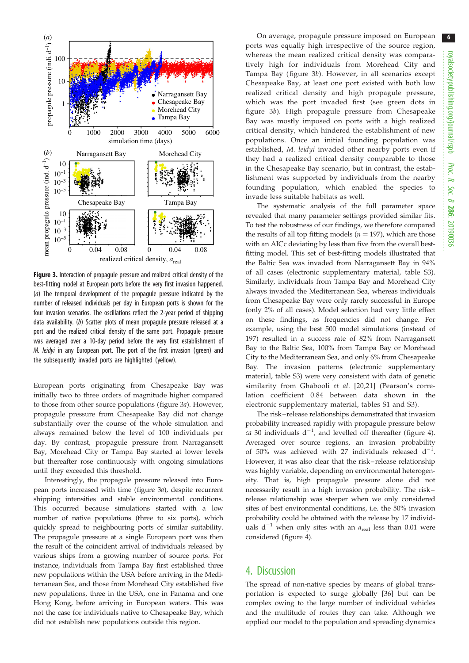<span id="page-5-0"></span>

Figure 3. Interaction of propagule pressure and realized critical density of the best-fitting model at European ports before the very first invasion happened. (a) The temporal development of the propagule pressure indicated by the number of released individuals per day in European ports is shown for the four invasion scenarios. The oscillations reflect the 2-year period of shipping data availability. (b) Scatter plots of mean propagule pressure released at a port and the realized critical density of the same port. Propagule pressure was averaged over a 10-day period before the very first establishment of M. leidyi in any European port. The port of the first invasion (green) and the subsequently invaded ports are highlighted (yellow).

European ports originating from Chesapeake Bay was initially two to three orders of magnitude higher compared to those from other source populations (figure 3a). However, propagule pressure from Chesapeake Bay did not change substantially over the course of the whole simulation and always remained below the level of 100 individuals per day. By contrast, propagule pressure from Narragansett Bay, Morehead City or Tampa Bay started at lower levels but thereafter rose continuously with ongoing simulations until they exceeded this threshold.

Interestingly, the propagule pressure released into European ports increased with time (figure 3a), despite recurrent shipping intensities and stable environmental conditions. This occurred because simulations started with a low number of native populations (three to six ports), which quickly spread to neighbouring ports of similar suitability. The propagule pressure at a single European port was then the result of the coincident arrival of individuals released by various ships from a growing number of source ports. For instance, individuals from Tampa Bay first established three new populations within the USA before arriving in the Mediterranean Sea, and those from Morehead City established five new populations, three in the USA, one in Panama and one Hong Kong, before arriving in European waters. This was not the case for individuals native to Chesapeake Bay, which did not establish new populations outside this region.

On average, propagule pressure imposed on European ports was equally high irrespective of the source region, whereas the mean realized critical density was comparatively high for individuals from Morehead City and Tampa Bay ( figure 3b). However, in all scenarios except Chesapeake Bay, at least one port existed with both low realized critical density and high propagule pressure, which was the port invaded first (see green dots in figure 3b). High propagule pressure from Chesapeake Bay was mostly imposed on ports with a high realized critical density, which hindered the establishment of new populations. Once an initial founding population was established, M. leidyi invaded other nearby ports even if they had a realized critical density comparable to those in the Chesapeake Bay scenario, but in contrast, the establishment was supported by individuals from the nearby founding population, which enabled the species to invade less suitable habitats as well.

The systematic analysis of the full parameter space revealed that many parameter settings provided similar fits. To test the robustness of our findings, we therefore compared the results of all top fitting models ( $n = 197$ ), which are those with an AICc deviating by less than five from the overall bestfitting model. This set of best-fitting models illustrated that the Baltic Sea was invaded from Narragansett Bay in 94% of all cases (electronic supplementary material, table S3). Similarly, individuals from Tampa Bay and Morehead City always invaded the Mediterranean Sea, whereas individuals from Chesapeake Bay were only rarely successful in Europe (only 2% of all cases). Model selection had very little effect on these findings, as frequencies did not change. For example, using the best 500 model simulations (instead of 197) resulted in a success rate of 82% from Narragansett Bay to the Baltic Sea, 100% from Tampa Bay or Morehead City to the Mediterranean Sea, and only 6% from Chesapeake Bay. The invasion patterns (electronic supplementary material, table S3) were very consistent with data of genetic similarity from Ghabooli et al. [[20](#page-8-0),[21\]](#page-8-0) (Pearson's correlation coefficient 0.84 between data shown in the electronic supplementary material, tables S1 and S3).

The risk– release relationships demonstrated that invasion probability increased rapidly with propagule pressure below ca 30 individuals  $d^{-1}$ , and levelled off thereafter ([figure 4\)](#page-6-0). Averaged over source regions, an invasion probability of 50% was achieved with 27 individuals released  $d^{-1}$ . However, it was also clear that the risk– release relationship was highly variable, depending on environmental heterogeneity. That is, high propagule pressure alone did not necessarily result in a high invasion probability. The risk – release relationship was steeper when we only considered sites of best environmental conditions, i.e. the 50% invasion probability could be obtained with the release by 17 individuals  $d^{-1}$  when only sites with an  $a_{\text{real}}$  less than 0.01 were considered ([figure 4\)](#page-6-0).

## 4. Discussion

The spread of non-native species by means of global transportation is expected to surge globally [[36\]](#page-8-0) but can be complex owing to the large number of individual vehicles and the multitude of routes they can take. Although we applied our model to the population and spreading dynamics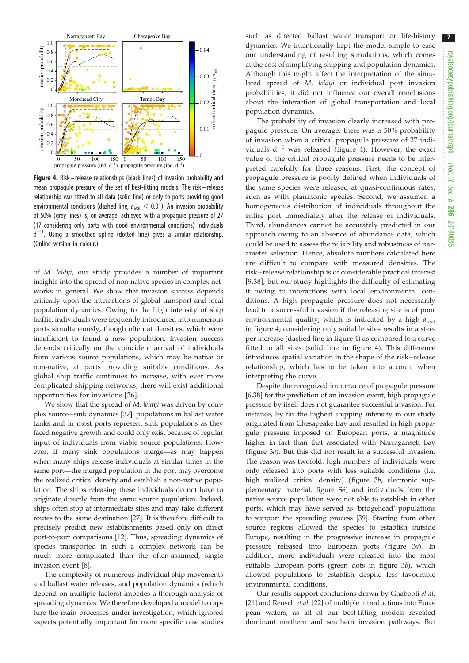<span id="page-6-0"></span>

Figure 4. Risk – release relationships (black lines) of invasion probability and mean propagule pressure of the set of best-fitting models. The risk –release relationship was fitted to all data (solid line) or only to ports providing good environmental conditions (dashed line,  $a_{\text{real}} < 0.01$ ). An invasion probability of 50% (grey lines) is, on average, achieved with a propagule pressure of 27 (17 considering only ports with good environmental conditions) individuals  $d^{-1}$ . Using a smoothed spline (dotted line) gives a similar relationship. (Online version in colour.)

of M. leidyi, our study provides a number of important insights into the spread of non-native species in complex networks in general. We show that invasion success depends critically upon the interactions of global transport and local population dynamics. Owing to the high intensity of ship traffic, individuals were frequently introduced into numerous ports simultaneously, though often at densities, which were insufficient to found a new population. Invasion success depends critically on the coincident arrival of individuals from various source populations, which may be native or non-native, at ports providing suitable conditions. As global ship traffic continues to increase, with ever more complicated shipping networks, there will exist additional opportunities for invasions [\[36\]](#page-8-0).

We show that the spread of M. leidyi was driven by complex source –sink dynamics [\[37](#page-8-0)]: populations in ballast water tanks and in most ports represent sink populations as they faced negative growth and could only exist because of regular input of individuals from viable source populations. However, if many sink populations merge—as may happen when many ships release individuals at similar times in the same port—the merged population in the port may overcome the realized critical density and establish a non-native population. The ships releasing these individuals do not have to originate directly from the same source population. Indeed, ships often stop at intermediate sites and may take different routes to the same destination [\[27\]](#page-8-0). It is therefore difficult to precisely predict new establishments based only on direct port-to-port comparisons [[12\]](#page-7-0). Thus, spreading dynamics of species transported in such a complex network can be much more complicated than the often-assumed, single invasion event [[8](#page-7-0)].

The complexity of numerous individual ship movements and ballast water releases, and population dynamics (which depend on multiple factors) impedes a thorough analysis of spreading dynamics. We therefore developed a model to capture the main processes under investigation, which ignored aspects potentially important for more specific case studies such as directed ballast water transport or life-history dynamics. We intentionally kept the model simple to ease our understanding of resulting simulations, which comes at the cost of simplifying shipping and population dynamics. Although this might affect the interpretation of the simulated spread of M. leidyi or individual port invasion probabilities, it did not influence our overall conclusions about the interaction of global transportation and local population dynamics.

The probability of invasion clearly increased with propagule pressure. On average, there was a 50% probability of invasion when a critical propagule pressure of 27 individuals  $d^{-1}$  was released (figure 4). However, the exact value of the critical propagule pressure needs to be interpreted carefully for three reasons. First, the concept of propagule pressure is poorly defined when individuals of the same species were released at quasi-continuous rates, such as with planktonic species. Second, we assumed a homogeneous distribution of individuals throughout the entire port immediately after the release of individuals. Third, abundances cannot be accurately predicted in our approach owing to an absence of abundance data, which could be used to assess the reliability and robustness of parameter selection. Hence, absolute numbers calculated here are difficult to compare with measured densities. The risk – release relationship is of considerable practical interest [[9,](#page-7-0)[38](#page-8-0)], but our study highlights the difficulty of estimating it owing to interactions with local environmental conditions. A high propagule pressure does not necessarily lead to a successful invasion if the releasing site is of poor environmental quality, which is indicated by a high  $a_{\text{real}}$ in figure 4; considering only suitable sites results in a steeper increase (dashed line in figure 4) as compared to a curve fitted to all sites (solid line in figure 4). This difference introduces spatial variation in the shape of the risk – release relationship, which has to be taken into account when interpreting the curve.

Despite the recognized importance of propagule pressure [[6](#page-7-0)[,38](#page-8-0)] for the prediction of an invasion event, high propagule pressure by itself does not guarantee successful invasion. For instance, by far the highest shipping intensity in our study originated from Chesapeake Bay and resulted in high propagule pressure imposed on European ports, a magnitude higher in fact than that associated with Narragansett Bay ([figure 3](#page-5-0)a). But this did not result in a successful invasion. The reason was twofold: high numbers of individuals were only released into ports with less suitable conditions (i.e. high realized critical density) [\(figure 3](#page-5-0)b, electronic supplementary material, figure S6) and individuals from the native source population were not able to establish in other ports, which may have served as 'bridgehead' populations to support the spreading process [\[39](#page-8-0)]. Starting from other source regions allowed the species to establish outside Europe, resulting in the progressive increase in propagule pressure released into European ports ([figure 3](#page-5-0)a). In addition, more individuals were released into the most suitable European ports (green dots in [figure 3](#page-5-0)b), which allowed populations to establish despite less favourable environmental conditions.

Our results support conclusions drawn by Ghabooli et al. [[21\]](#page-8-0) and Reusch et al. [[22\]](#page-8-0) of multiple introductions into European waters, as all of our best-fitting models revealed dominant northern and southern invasion pathways. But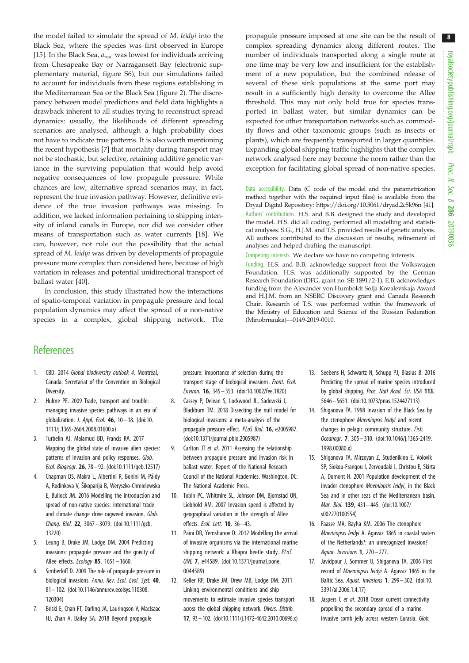<span id="page-7-0"></span>the model failed to simulate the spread of M. leidyi into the Black Sea, where the species was first observed in Europe [15]. In the Black Sea,  $a_{\text{real}}$  was lowest for individuals arriving from Chesapeake Bay or Narragansett Bay (electronic supplementary material, figure S6), but our simulations failed to account for individuals from these regions establishing in the Mediterranean Sea or the Black Sea ([figure 2](#page-4-0)). The discrepancy between model predictions and field data highlights a drawback inherent to all studies trying to reconstruct spread dynamics: usually, the likelihoods of different spreading scenarios are analysed, although a high probability does not have to indicate true patterns. It is also worth mentioning the recent hypothesis [7] that mortality during transport may not be stochastic, but selective, retaining additive genetic variance in the surviving population that would help avoid negative consequences of low propagule pressure. While chances are low, alternative spread scenarios may, in fact, represent the true invasion pathway. However, definitive evidence of the true invasion pathways was missing. In addition, we lacked information pertaining to shipping intensity of inland canals in Europe, nor did we consider other means of transportation such as water currents [18]. We can, however, not rule out the possibility that the actual spread of M. leidyi was driven by developments of propagule pressure more complex than considered here, because of high variation in releases and potential unidirectional transport of ballast water [\[40](#page-8-0)].

In conclusion, this study illustrated how the interactions of spatio-temporal variation in propagule pressure and local population dynamics may affect the spread of a non-native species in a complex, global shipping network. The propagule pressure imposed at one site can be the result of complex spreading dynamics along different routes. The number of individuals transported along a single route at one time may be very low and insufficient for the establishment of a new population, but the combined release of several of these sink populations at the same port may result in a sufficiently high density to overcome the Allee threshold. This may not only hold true for species transported in ballast water, but similar dynamics can be expected for other transportation networks such as commodity flows and other taxonomic groups (such as insects or plants), which are frequently transported in larger quantities. Expanding global shipping traffic highlights that the complex network analysed here may become the norm rather than the exception for facilitating global spread of non-native species.

Data accessibility. Data (C code of the model and the parametrization method together with the required input files) is available from the Dryad Digital Repository:<https://doi.org/10.5061/dryad.2c5k96n> [\[41\]](#page-8-0). Authors' contributions. H.S. and B.B. designed the study and developed the model. H.S. did all coding, performed all modelling and statistical analyses. S.G., H.J.M. and T.S. provided results of genetic analysis. All authors contributed to the discussion of results, refinement of analyses and helped drafting the manuscript.

Competing interests. We declare we have no competing interests.

Funding. H.S. and B.B. acknowledge support from the Volkswagen Foundation. H.S. was additionally supported by the German Research Foundation (DFG, grant no. SE 1891/2-1). E.B. acknowledges funding from the Alexander von Humboldt Sofja Kovalevskaja Award and H.J.M. from an NSERC Discovery grant and Canada Research Chair. Research of T.S. was performed within the framework of the Ministry of Education and Science of the Russian Federation (Minobrnauka)—0149-2019-0010.

## **References**

- 1. CBD. 2014 Global biodiversity outlook 4. Montréal, Canada: Secretariat of the Convention on Biological Diversity.
- 2. Hulme PE. 2009 Trade, transport and trouble: managing invasive species pathways in an era of globalization. *J. Appl. Ecol.* **46**,  $10-18$ . ([doi:10.](http://dx.doi.org/10.1111/j.1365-2664.2008.01600.x) [1111/j.1365-2664.2008.01600.x](http://dx.doi.org/10.1111/j.1365-2664.2008.01600.x))
- 3. Turbelin AJ, Malamud BD, Francis RA. 2017 Mapping the global state of invasive alien species: patterns of invasion and policy responses. Glob. Ecol. Biogeogr. 26, 78 – 92. [\(doi:10.1111/geb.12517\)](http://dx.doi.org/10.1111/geb.12517)
- 4. Chapman DS, Makra L, Albertini R, Bonini M, Páldy A, Rodinkova V, Šikoparija B, Weryszko-Chmielewska E, Bullock JM. 2016 Modelling the introduction and spread of non-native species: international trade and climate change drive ragweed invasion. Glob. Chang. Biol. 22, 3067 – 3079. ([doi:10.1111/gcb.](http://dx.doi.org/10.1111/gcb.13220) [13220\)](http://dx.doi.org/10.1111/gcb.13220)
- 5. Leung B, Drake JM, Lodge DM. 2004 Predicting invasions: propagule pressure and the gravity of Allee effects. Ecology 85, 1651 – 1660.
- 6. Simberloff D. 2009 The role of propagule pressure in biological invasions. Annu. Rev. Ecol. Evol. Syst. 40, 81 – 102. [\(doi:10.1146/annurev.ecolsys.110308.](http://dx.doi.org/10.1146/annurev.ecolsys.110308.120304) [120304](http://dx.doi.org/10.1146/annurev.ecolsys.110308.120304))
- 7. Briski E, Chan FT, Darling JA, Lauringson V, MacIsaac HJ, Zhan A, Bailey SA. 2018 Beyond propagule

pressure: importance of selection during the transport stage of biological invasions. Front. Ecol. Environ. 16, 345– 353. [\(doi:10.1002/fee.1820](http://dx.doi.org/10.1002/fee.1820))

- 8. Cassey P, Delean S, Lockwood JL, Sadowski J, Blackburn TM. 2018 Dissecting the null model for biological invasions: a meta-analysis of the propagule pressure effect. PLoS Biol. 16, e2005987. [\(doi:10.1371/journal.pbio.2005987](http://dx.doi.org/10.1371/journal.pbio.2005987))
- 9. Carlton JT et al. 2011 Assessing the relationship between propagule pressure and invasion risk in ballast water. Report of the National Research Council of the National Academies. Washington, DC: The National Academic Press.
- 10. Tobin PC, Whitmire SL, Johnson DM, Bjornstad ON, Liebhold AM. 2007 Invasion speed is affected by geographical variation in the strength of Allee effects. Ecol. Lett. **10**, 36 - 43.
- 11. Paini DR, Yemshanov D. 2012 Modelling the arrival of invasive organisms via the international marine shipping network: a Khapra beetle study. PLoS ONE 7, e44589. ([doi:10.1371/journal.pone.](http://dx.doi.org/10.1371/journal.pone.0044589) [0044589](http://dx.doi.org/10.1371/journal.pone.0044589))
- 12. Keller RP, Drake JM, Drew MB, Lodge DM. 2011 Linking environmental conditions and ship movements to estimate invasive species transport across the global shipping network. Divers. Distrib. 17, 93–102. [\(doi:10.1111/j.1472-4642.2010.00696.x\)](http://dx.doi.org/10.1111/j.1472-4642.2010.00696.x)
- 13. Seebens H, Schwartz N, Schupp PJ, Blasius B. 2016 Predicting the spread of marine species introduced by global shipping. Proc. Natl Acad. Sci. USA 113, 5646– 5651. ([doi:10.1073/pnas.1524427113\)](http://dx.doi.org/10.1073/pnas.1524427113)
- 14. Shiganova TA. 1998 Invasion of the Black Sea by the ctenophore Mnemiopsis leidyi and recent changes in pelagic community structure. Fish. Oceanogr. 7, 305 – 310. ([doi:10.1046/j.1365-2419.](http://dx.doi.org/10.1046/j.1365-2419.1998.00080.x) [1998.00080.x](http://dx.doi.org/10.1046/j.1365-2419.1998.00080.x))
- 15. Shiganova TA, Mirzoyan Z, Studenikina E, Volovik SP, Siokou-Frangou I, Zervoudaki I, Christou E, Skirta A, Dumont H. 2001 Population development of the invader ctenophore Mnemiopsis leidyi, in the Black Sea and in other seas of the Mediterranean basin. Mar. Biol. 139, 431– 445. [\(doi:10.1007/](http://dx.doi.org/10.1007/s002270100554) [s002270100554\)](http://dx.doi.org/10.1007/s002270100554)
- 16. Faasse MA, Bayha KM. 2006 The ctenophore Mnemiopsis leidyi A. Agassiz 1865 in coastal waters of the Netherlands?: an unrecognized invasion? Aquat. Invasions **1**, 270 – 277.
- 17. Javidpour J, Sommer U, Shiganova TA. 2006 First record of Mnemiopsis leidyi A. Agassiz 1865 in the Baltic Sea. Aquat. Invasions 1, 299– 302. [\(doi:10.](http://dx.doi.org/10.3391/ai.2006.1.4.17) [3391/ai.2006.1.4.17](http://dx.doi.org/10.3391/ai.2006.1.4.17))
- 18. Jaspers C et al. 2018 Ocean current connectivity propelling the secondary spread of a marine invasive comb jelly across western Eurasia. Glob.